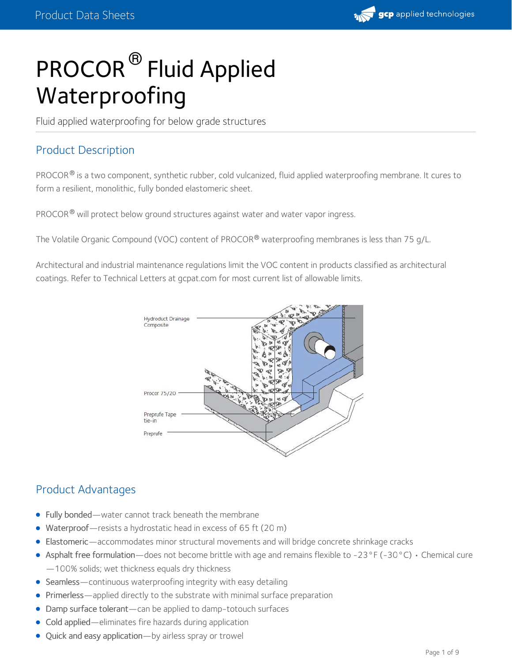# PROCOR<sup>®</sup> Fluid Applied Waterproofing

Fluid applied waterproofing for below grade structures

# Product Description

PROCOR $^{\circledR}$  is a two component, synthetic rubber, cold vulcanized, fluid applied waterproofing membrane. It cures to form a resilient, monolithic, fully bonded elastomeric sheet.

PROCOR® will protect below ground structures against water and water vapor ingress.

The Volatile Organic Compound (VOC) content of PROCOR® waterproofing membranes is less than 75 g/L.

Architectural and industrial maintenance regulations limit the VOC content in products classified as architectural coatings. Refer to Technical Letters at gcpat.com for most current list of allowable limits.



# Product Advantages

- Fully bonded—water cannot track beneath the membrane
- Waterproof-resists a hydrostatic head in excess of 65 ft (20 m)
- Elastomeric—accommodates minor structural movements and will bridge concrete shrinkage cracks
- Asphalt free formulation—does not become brittle with age and remains flexible to -23°F (-30°C)  $\cdot$  Chemical cure —100% solids; wet thickness equals dry thickness
- Seamless—continuous waterproofing integrity with easy detailing
- Primerless—applied directly to the substrate with minimal surface preparation
- Damp surface tolerant—can be applied to damp-totouch surfaces  $\bullet$
- Cold applied—eliminates fire hazards during application
- Quick and easy application—by airless spray or trowel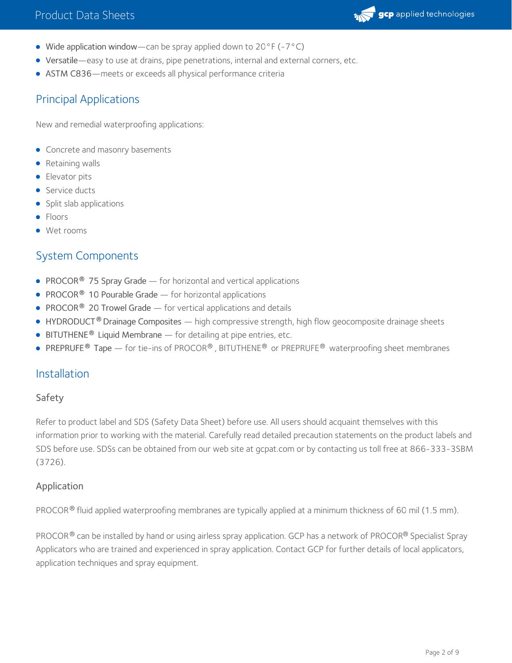

- Wide application window—can be spray applied down to 20°F (-7°C)
- Versatile—easy to use at drains, pipe penetrations, internal and external corners, etc.
- ASTM C836—meets or exceeds all physical performance criteria

## Principal Applications

New and remedial waterproofing applications:

- Concrete and masonry basements
- Retaining walls
- **•** Elevator pits
- Service ducts
- Split slab applications
- Floors
- Wet rooms

# System Components

- **PROCOR<sup>®</sup> 75 Spray Grade** for horizontal and vertical applications
- **PROCOR<sup>®</sup> 10 Pourable Grade** for horizontal applications
- **PROCOR<sup>®</sup> 20 Trowel Grade** for vertical applications and details
- HYDRODUCT<sup>®</sup> Drainage Composites high compressive strength, high flow geocomposite drainage sheets
- **BITUTHENE<sup>®</sup> Liquid Membrane** for detailing at pipe entries, etc.
- **PREPRUFE<sup>®</sup> Tape** for tie-ins of PROCOR®, BITUTHENE<sup>®</sup> or PREPRUFE<sup>®</sup> waterproofing sheet membranes

## Installation

#### Safety

Refer to product label and SDS (Safety Data Sheet) before use. All users should acquaint themselves with this information prior to working with the material. Carefully read detailed precaution statements on the product labels and SDS before use. SDSs can be obtained from our web site at gcpat.com or by contacting us toll free at 866-333-3SBM (3726).

#### Application

PROCOR $^\circledR$  fluid applied waterproofing membranes are typically applied at a minimum thickness of 60 mil (1.5 mm).

PROCOR® can be installed by hand or using airless spray application. GCP has a network of PROCOR® Specialist Spray Applicators who are trained and experienced in spray application. Contact GCP for further details of local applicators, application techniques and spray equipment.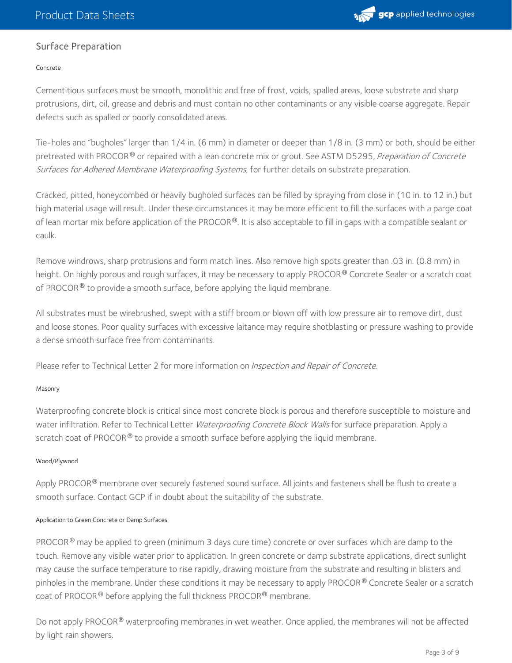

## Surface Preparation

#### Concrete

Cementitious surfaces must be smooth, monolithic and free of frost, voids, spalled areas, loose substrate and sharp protrusions, dirt, oil, grease and debris and must contain no other contaminants or any visible coarse aggregate. Repair defects such as spalled or poorly consolidated areas.

Tie-holes and "bugholes" larger than 1/4 in. (6 mm) in diameter or deeper than 1/8 in. (3 mm) or both, should be either pretreated with PROCOR ® or repaired with a lean concrete mix or grout. See ASTM D5295, *Preparation of Concrete* Surfaces for Adhered Membrane Waterproofing Systems, for further details on substrate preparation.

Cracked, pitted, honeycombed or heavily bugholed surfaces can be filled by spraying from close in (10 in. to 12 in.) but high material usage will result. Under these circumstances it may be more efficient to fill the surfaces with a parge coat of lean mortar mix before application of the PROCOR®. It is also acceptable to fill in gaps with a compatible sealant or caulk.

Remove windrows, sharp protrusions and form match lines. Also remove high spots greater than .03 in. (0.8 mm) in height. On highly porous and rough surfaces, it may be necessary to apply PROCOR® Concrete Sealer or a scratch coat of PROCOR $^\circledR$  to provide a smooth surface, before applying the liquid membrane.

All substrates must be wirebrushed, swept with a stiff broom or blown off with low pressure air to remove dirt, dust and loose stones. Poor quality surfaces with excessive laitance may require shotblasting or pressure washing to provide a dense smooth surface free from contaminants.

Please refer to Technical Letter 2 for more information on Inspection and Repair of Concrete.

#### Masonry

Waterproofing concrete block is critical since most concrete block is porous and therefore susceptible to moisture and water infiltration. Refer to Technical Letter Waterproofing Concrete Block Walls for surface preparation. Apply a scratch coat of PROCOR $^\circledast$  to provide a smooth surface before applying the liquid membrane.

#### Wood/Plywood

Apply PROCOR® membrane over securely fastened sound surface. All joints and fasteners shall be flush to create a smooth surface. Contact GCP if in doubt about the suitability of the substrate.

#### Application to Green Concrete or Damp Surfaces

<code>PROCOR®</code> may be applied to green (minimum 3 days cure time) concrete or over surfaces which are damp to the  $\,$ touch. Remove any visible water prior to application. In green concrete or damp substrate applications, direct sunlight may cause the surface temperature to rise rapidly, drawing moisture from the substrate and resulting in blisters and pinholes in the membrane. Under these conditions it may be necessary to apply PROCOR® Concrete Sealer or a scratch coat of PROCOR® before applying the full thickness PROCOR® membrane.

Do not apply PROCOR® waterproofing membranes in wet weather. Once applied, the membranes will not be affected by light rain showers.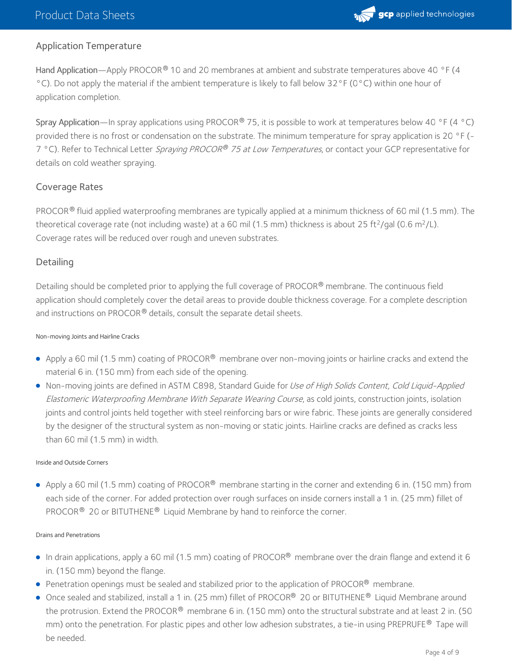

## Application Temperature

Hand Application—Apply PROCOR® 10 and 20 membranes at ambient and substrate temperatures above 40 °F (4 °C). Do not apply the material if the ambient temperature is likely to fall below 32°F (0°C) within one hour of application completion.

Spray Application—In spray applications using PROCOR® 75, it is possible to work at temperatures below 40 °F (4 °C) provided there is no frost or condensation on the substrate. The minimum temperature for spray application is 20 °F (-7 °C). Refer to Technical Letter *Spraying PROCOR® 75 at Low Temperatures*, or contact your GCP representative for details on cold weather spraying.

#### Coverage Rates

PROCOR $^\circledR$  fluid applied waterproofing membranes are typically applied at a minimum thickness of 60 mil (1.5 mm). The theoretical coverage rate (not including waste) at a 60 mil (1.5 mm) thickness is about 25 ft<sup>2</sup>/gal (0.6 m<sup>2</sup>/L). Coverage rates will be reduced over rough and uneven substrates.

## **Detailing**

Detailing should be completed prior to applying the full coverage of PROCOR® membrane. The continuous field application should completely cover the detail areas to provide double thickness coverage. For a complete description and instructions on PROCOR $^\circledR$  details, consult the separate detail sheets.

#### Non-moving Joints and Hairline Cracks

- Apply a 60 mil (1.5 mm) coating of PROCOR® membrane over non-moving joints or hairline cracks and extend the material 6 in. (150 mm) from each side of the opening.
- Non-moving joints are defined in ASTM C898, Standard Guide for Use of High Solids Content, Cold Liquid-Applied Elastomeric Waterproofing Membrane With Separate Wearing Course, as cold joints, construction joints, isolation joints and control joints held together with steel reinforcing bars or wire fabric. These joints are generally considered by the designer of the structural system as non-moving or static joints. Hairline cracks are defined as cracks less than 60 mil (1.5 mm) in width.

#### Inside and Outside Corners

Apply a 60 mil (1.5 mm) coating of PROCOR® membrane starting in the corner and extending 6 in. (150 mm) from each side of the corner. For added protection over rough surfaces on inside corners install a 1 in. (25 mm) fillet of PROCOR $^{\circledR}$  20 or BITUTHENE $^{\circledR}$  Liquid Membrane by hand to reinforce the corner.

#### Drains and Penetrations

- In drain applications, apply a 60 mil (1.5 mm) coating of PROCOR® membrane over the drain flange and extend it 6 in. (150 mm) beyond the flange.
- **Penetration openings must be sealed and stabilized prior to the application of PROCOR<sup>®</sup> membrane.**
- Once sealed and stabilized, install a 1 in. (25 mm) fillet of PROCOR® 20 or BITUTHENE® Liquid Membrane around the protrusion. Extend the PROCOR® membrane 6 in. (150 mm) onto the structural substrate and at least 2 in. (50 mm) onto the penetration. For plastic pipes and other low adhesion substrates, a tie-in using <code>PREPRUFE®</code> Tape will be needed.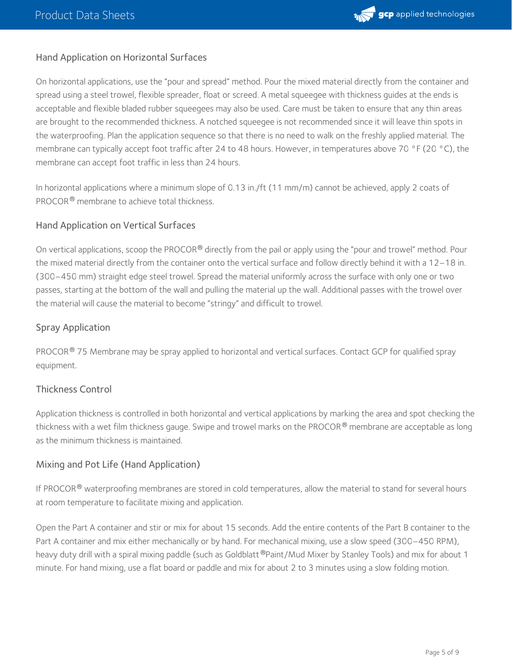

## Hand Application on Horizontal Surfaces

On horizontal applications, use the "pour and spread" method. Pour the mixed material directly from the container and spread using a steel trowel, flexible spreader, float or screed. A metal squeegee with thickness guides at the ends is acceptable and flexible bladed rubber squeegees may also be used. Care must be taken to ensure that any thin areas are brought to the recommended thickness. A notched squeegee is not recommended since it will leave thin spots in the waterproofing. Plan the application sequence so that there is no need to walk on the freshly applied material. The membrane can typically accept foot traffic after 24 to 48 hours. However, in temperatures above 70 °F (20 °C), the membrane can accept foot traffic in less than 24 hours.

In horizontal applications where a minimum slope of 0.13 in./ft (11 mm/m) cannot be achieved, apply 2 coats of PROCOR ® membrane to achieve total thickness.

#### Hand Application on Vertical Surfaces

On vertical applications, scoop the PROCOR® directly from the pail or apply using the "pour and trowel" method. Pour the mixed material directly from the container onto the vertical surface and follow directly behind it with a 12–18 in. (300–450 mm) straight edge steel trowel. Spread the material uniformly across the surface with only one or two passes, starting at the bottom of the wall and pulling the material up the wall. Additional passes with the trowel over the material will cause the material to become "stringy" and difficult to trowel.

### Spray Application

PROCOR® 75 Membrane may be spray applied to horizontal and vertical surfaces. Contact GCP for qualified spray equipment.

#### Thickness Control

Application thickness is controlled in both horizontal and vertical applications by marking the area and spot checking the thickness with a wet film thickness gauge. Swipe and trowel marks on the PROCOR® membrane are acceptable as long as the minimum thickness is maintained.

## Mixing and Pot Life (Hand Application)

If PROCOR $^\circledR$  waterproofing membranes are stored in cold temperatures, allow the material to stand for several hours at room temperature to facilitate mixing and application.

Open the Part A container and stir or mix for about 15 seconds. Add the entire contents of the Part B container to the Part A container and mix either mechanically or by hand. For mechanical mixing, use a slow speed (300–450 RPM), heavy duty drill with a spiral mixing paddle (such as Goldblatt®Paint/Mud Mixer by Stanley Tools) and mix for about 1 minute. For hand mixing, use a flat board or paddle and mix for about 2 to 3 minutes using a slow folding motion.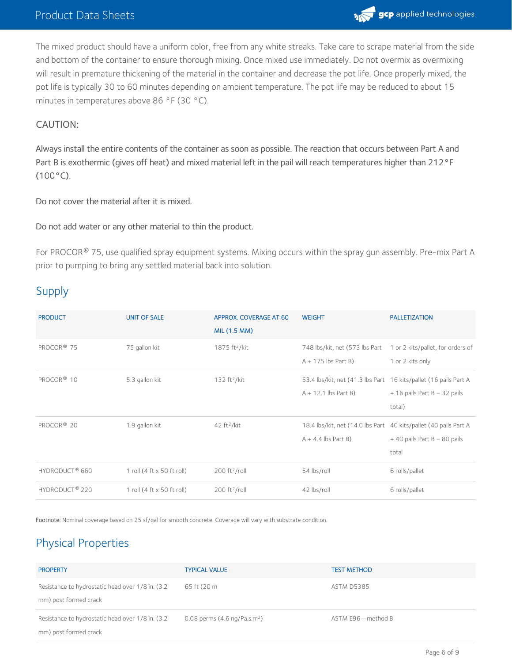## Product Data Sheets



The mixed product should have a uniform color, free from any white streaks. Take care to scrape material from the side and bottom of the container to ensure thorough mixing. Once mixed use immediately. Do not overmix as overmixing will result in premature thickening of the material in the container and decrease the pot life. Once properly mixed, the pot life is typically 30 to 60 minutes depending on ambient temperature. The pot life may be reduced to about 15 minutes in temperatures above 86 °F (30 °C).

#### CAUTION:

Always install the entire contents of the container as soon as possible. The reaction that occurs between Part A and Part B is exothermic (gives off heat) and mixed material left in the pail will reach temperatures higher than 212°F  $(100 °C)$ .

Do not cover the material after it is mixed.

#### Do not add water or any other material to thin the product.

For PROCOR® 75, use qualified spray equipment systems. Mixing occurs within the spray gun assembly. Pre-mix Part A prior to pumping to bring any settled material back into solution.

# Supply

| <b>PRODUCT</b>             | <b>UNIT OF SALE</b>        | APPROX. COVERAGE AT 60<br>MIL (1.5 MM) | <b>WEIGHT</b>                                                                              | <b>PALLETIZATION</b>                                  |
|----------------------------|----------------------------|----------------------------------------|--------------------------------------------------------------------------------------------|-------------------------------------------------------|
| PROCOR <sup>®</sup> 75     | 75 gallon kit              | 1875 ft <sup>2</sup> /kit              | 748 lbs/kit, net (573 lbs Part<br>$A + 175$ lbs Part B)                                    | 1 or 2 kits/pallet, for orders of<br>1 or 2 kits only |
| PROCOR <sup>®</sup> 10     | 5.3 gallon kit             | 132 ft <sup>2</sup> /kit               | 53.4 lbs/kit, net (41.3 lbs Part 16 kits/pallet (16 pails Part A<br>$A + 12.1$ lbs Part B) | $+$ 16 pails Part B = 32 pails<br>total)              |
| PROCOR <sup>®</sup> 20     | 1.9 gallon kit             | $42 \text{ ft}^2/\text{kit}$           | 18.4 lbs/kit, net (14.0 lbs Part 40 kits/pallet (40 pails Part A<br>$A + 4.4$ lbs Part B)  | $+40$ pails Part B = 80 pails<br>total                |
| HYDRODUCT <sup>®</sup> 660 | 1 roll (4 ft x 50 ft roll) | $200 \text{ ft}^2\text{/roll}$         | 54 lbs/roll                                                                                | 6 rolls/pallet                                        |
| HYDRODUCT <sup>®</sup> 220 | 1 roll (4 ft x 50 ft roll) | $200 \text{ ft}^2\text{/roll}$         | 42 lbs/roll                                                                                | 6 rolls/pallet                                        |

Footnote: Nominal coverage based on 25 sf/gal for smooth concrete. Coverage will vary with substrate condition.

# Physical Properties

| <b>PROPERTY</b>                                                            | <b>TYPICAL VALUE</b>                   | <b>TEST METHOD</b> |
|----------------------------------------------------------------------------|----------------------------------------|--------------------|
| Resistance to hydrostatic head over 1/8 in. (3.2)<br>mm) post formed crack | 65 ft (20 m                            | ASTM D5385         |
| Resistance to hydrostatic head over 1/8 in. (3.2)<br>mm) post formed crack | 0.08 perms $(4.6 \text{ ng/Pa.s.m}^2)$ | ASTM E96-method B  |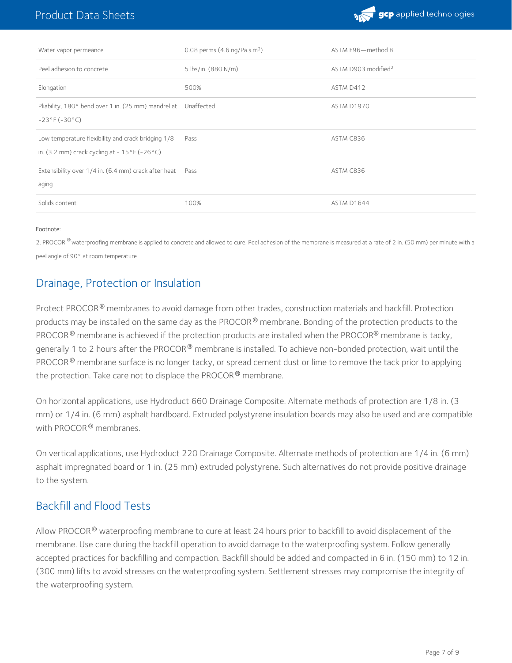

| Water vapor permeance                                                                                                  | 0.08 perms $(4.6 \text{ ng/Pa.s.m}^2)$ | ASTM E96-method B               |
|------------------------------------------------------------------------------------------------------------------------|----------------------------------------|---------------------------------|
| Peel adhesion to concrete                                                                                              | 5 lbs/in. (880 N/m)                    | ASTM D903 modified <sup>2</sup> |
| Elongation                                                                                                             | 500%                                   | ASTM D412                       |
| Pliability, 180° bend over 1 in. (25 mm) mandrel at Unaffected<br>$-23^{\circ}F(-30^{\circ}C)$                         |                                        | ASTM D1970                      |
| Low temperature flexibility and crack bridging 1/8<br>in. (3.2 mm) crack cycling at $-15^{\circ}$ F ( $-26^{\circ}$ C) | Pass                                   | ASTM C836                       |
| Extensibility over 1/4 in. (6.4 mm) crack after heat Pass<br>aging                                                     |                                        | ASTM C836                       |
| Solids content                                                                                                         | 100%                                   | ASTM D1644                      |

#### Footnote:

2. PROCOR  $^\circ$  waterproofing membrane is applied to concrete and allowed to cure. Peel adhesion of the membrane is measured at a rate of 2 in. (50 mm) per minute with a peel angle of 90° at room temperature

## Drainage, Protection or Insulation

Protect PROCOR® membranes to avoid damage from other trades, construction materials and backfill. Protection products may be installed on the same day as the PROCOR® membrane. Bonding of the protection products to the PROCOR  $^\circledR$  membrane is achieved if the protection products are installed when the PROCOR $^\circledR$  membrane is tacky, generally 1 to 2 hours after the PROCOR® membrane is installed. To achieve non-bonded protection, wait until the PROCOR  $^\circ$  membrane surface is no longer tacky, or spread cement dust or lime to remove the tack prior to applying the protection. Take care not to displace the PROCOR  $^\circledR$  membrane.

On horizontal applications, use Hydroduct 660 Drainage Composite. Alternate methods of protection are 1/8 in. (3 mm) or 1/4 in. (6 mm) asphalt hardboard. Extruded polystyrene insulation boards may also be used and are compatible with PROCOR ® membranes.

On vertical applications, use Hydroduct 220 Drainage Composite. Alternate methods of protection are 1/4 in. (6 mm) asphalt impregnated board or 1 in. (25 mm) extruded polystyrene. Such alternatives do not provide positive drainage to the system.

## Backfill and Flood Tests

Allow PROCOR $^\circledast$  waterproofing membrane to cure at least 24 hours prior to backfill to avoid displacement of the membrane. Use care during the backfill operation to avoid damage to the waterproofing system. Follow generally accepted practices for backfilling and compaction. Backfill should be added and compacted in 6 in. (150 mm) to 12 in. (300 mm) lifts to avoid stresses on the waterproofing system. Settlement stresses may compromise the integrity of the waterproofing system.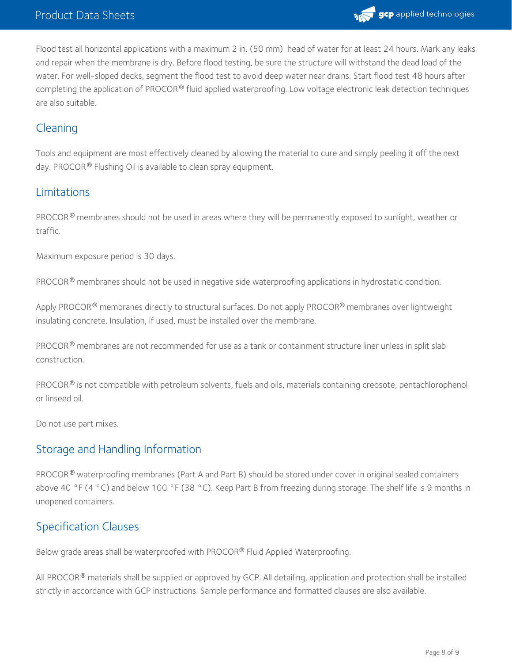

Flood test all horizontal applications with a maximum 2 in. (50 mm) head of water for at least 24 hours. Mark any leaks and repair when the membrane is dry. Before flood testing, be sure the structure will withstand the dead load of the water. For well-sloped decks, segment the flood test to avoid deep water near drains. Start flood test 48 hours after completing the application of PROCOR® fluid applied waterproofing. Low voltage electronic leak detection techniques are also suitable.

# Cleaning

Tools and equipment are most effectively cleaned by allowing the material to cure and simply peeling it off the next day. PROCOR® Flushing Oil is available to clean spray equipment.

# Limitations

PROCOR® membranes should not be used in areas where they will be permanently exposed to sunlight, weather or traffic.

Maximum exposure period is 30 days.

PROCOR® membranes should not be used in negative side waterproofing applications in hydrostatic condition.

Apply PROCOR® membranes directly to structural surfaces. Do not apply PROCOR® membranes over lightweight insulating concrete. Insulation, if used, must be installed over the membrane.

PROCOR® membranes are not recommended for use as a tank or containment structure liner unless in split slab construction.

PROCOR $^{\circledR}$  is not compatible with petroleum solvents, fuels and oils, materials containing creosote, pentachlorophenol or linseed oil.

Do not use part mixes.

## Storage and Handling Information

PROCOR® waterproofing membranes (Part A and Part B) should be stored under cover in original sealed containers above 40 °F (4 °C) and below 100 °F (38 °C). Keep Part B from freezing during storage. The shelf life is 9 months in unopened containers.

# Specification Clauses

Below grade areas shall be waterproofed with PROCOR® Fluid Applied Waterproofing.

All PROCOR® materials shall be supplied or approved by GCP. All detailing, application and protection shall be installed strictly in accordance with GCP instructions. Sample performance and formatted clauses are also available.